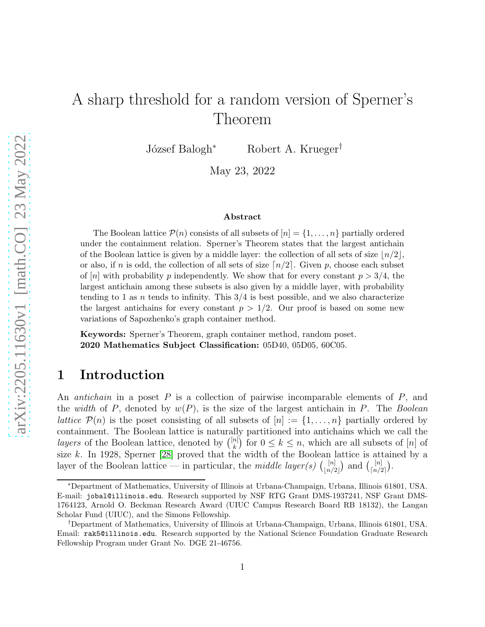# A sharp threshold for a random version of Sperner's Theorem

József Balogh<sup>∗</sup> Robert A. Krueger<sup>†</sup>

May 23, 2022

#### Abstract

The Boolean lattice  $\mathcal{P}(n)$  consists of all subsets of  $[n] = \{1, \ldots, n\}$  partially ordered under the containment relation. Sperner's Theorem states that the largest antichain of the Boolean lattice is given by a middle layer: the collection of all sets of size  $\lfloor n/2 \rfloor$ , or also, if n is odd, the collection of all sets of size  $\lceil n/2 \rceil$ . Given p, choose each subset of [n] with probability p independently. We show that for every constant  $p > 3/4$ , the largest antichain among these subsets is also given by a middle layer, with probability tending to 1 as *n* tends to infinity. This  $3/4$  is best possible, and we also characterize the largest antichains for every constant  $p > 1/2$ . Our proof is based on some new variations of Sapozhenko's graph container method.

Keywords: Sperner's Theorem, graph container method, random poset. 2020 Mathematics Subject Classification: 05D40, 05D05, 60C05.

#### 1 Introduction

An *antichain* in a poset P is a collection of pairwise incomparable elements of P, and the *width* of P, denoted by w(P), is the size of the largest antichain in P. The *Boolean lattice*  $\mathcal{P}(n)$  is the poset consisting of all subsets of  $[n] := \{1, \ldots, n\}$  partially ordered by containment. The Boolean lattice is naturally partitioned into antichains which we call the *layers* of the Boolean lattice, denoted by  $\binom{[n]}{k}$  ${k \choose k}$  for  $0 \leq k \leq n$ , which are all subsets of [n] of size k. In 1928, Sperner [\[28\]](#page-20-0) proved that the width of the Boolean lattice is attained by a layer of the Boolean lattice — in particular, the *middle layer(s)*  $\binom{[n]}{[n]}$  $\binom{[n]}{[n/2]}$  and  $\binom{[n]}{\lceil n/2 \rceil}$  $\begin{bmatrix} |n| \\ \lceil n/2 \rceil \end{bmatrix}$ .

<sup>∗</sup>Department of Mathematics, University of Illinois at Urbana-Champaign, Urbana, Illinois 61801, USA. E-mail: jobal@illinois.edu. Research supported by NSF RTG Grant DMS-1937241, NSF Grant DMS-1764123, Arnold O. Beckman Research Award (UIUC Campus Research Board RB 18132), the Langan Scholar Fund (UIUC), and the Simons Fellowship.

<sup>†</sup>Department of Mathematics, University of Illinois at Urbana-Champaign, Urbana, Illinois 61801, USA. Email: rak5@illinois.edu. Research supported by the National Science Foundation Graduate Research Fellowship Program under Grant No. DGE 21-46756.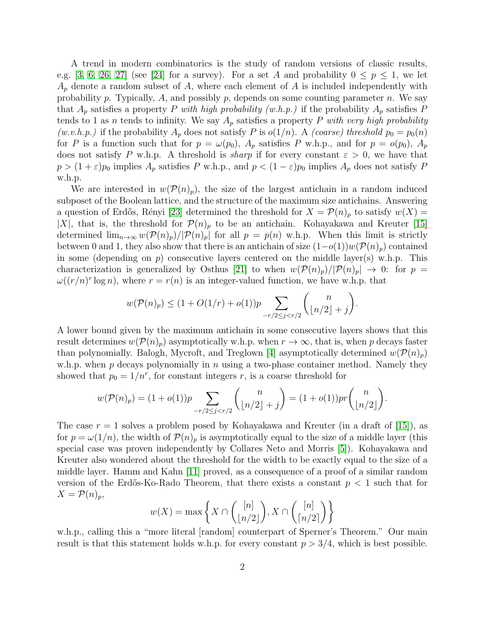A trend in modern combinatorics is the study of random versions of classic results, e.g. [\[3,](#page-19-0) [6,](#page-19-1) [26,](#page-20-1) [27\]](#page-20-2) (see [\[24\]](#page-20-3) for a survey). For a set A and probability  $0 \le p \le 1$ , we let  $A_p$  denote a random subset of A, where each element of A is included independently with probability p. Typically, A, and possibly p, depends on some counting parameter n. We say that  $A_p$  satisfies a property P with high probability (w.h.p.) if the probability  $A_p$  satisfies P tends to 1 as *n* tends to infinity. We say  $A_p$  satisfies a property P with very high probability *(w.v.h.p.)* if the probability  $A_p$  does not satisfy P is  $o(1/n)$ . A *(coarse)* threshold  $p_0 = p_0(n)$ for P is a function such that for  $p = \omega(p_0)$ ,  $A_p$  satisfies P w.h.p., and for  $p = o(p_0)$ ,  $A_p$ does not satisfy P w.h.p. A threshold is *sharp* if for every constant  $\varepsilon > 0$ , we have that  $p > (1 + \varepsilon)p_0$  implies  $A_p$  satisfies P w.h.p., and  $p < (1 - \varepsilon)p_0$  implies  $A_p$  does not satisfy P w.h.p.

We are interested in  $w(\mathcal{P}(n)_p)$ , the size of the largest antichain in a random induced subposet of the Boolean lattice, and the structure of the maximum size antichains. Answering a question of Erdős, Rényi [\[23\]](#page-20-4) determined the threshold for  $X = \mathcal{P}(n)_p$  to satisfy  $w(X) =$ |X|, that is, the threshold for  $\mathcal{P}(n)_p$  to be an antichain. Kohayakawa and Kreuter [\[15\]](#page-19-2) determined  $\lim_{n\to\infty}w(\mathcal{P}(n)_p)/|\mathcal{P}(n)_p|$  for all  $p = p(n)$  w.h.p. When this limit is strictly between 0 and 1, they also show that there is an antichain of size  $(1-o(1))w(\mathcal{P}(n_p))$  contained in some (depending on  $p$ ) consecutive layers centered on the middle layer(s) w.h.p. This characterization is generalized by Osthus [\[21\]](#page-20-5) to when  $w(\mathcal{P}(n_p)/|\mathcal{P}(n_p)| \to 0$ : for  $p =$  $\omega((r/n)^r \log n)$ , where  $r = r(n)$  is an integer-valued function, we have w.h.p. that

$$
w(\mathcal{P}(n)_p) \le (1 + O(1/r) + o(1))p \sum_{-r/2 \le j < r/2} \binom{n}{\lfloor n/2 \rfloor + j}.
$$

A lower bound given by the maximum antichain in some consecutive layers shows that this result determines  $w(\mathcal{P}(n)_p)$  asymptotically w.h.p. when  $r \to \infty$ , that is, when p decays faster than polynomially. Balogh, Mycroft, and Treglown [\[4\]](#page-19-3) asymptotically determined  $w(\mathcal{P}(n_p))$ w.h.p. when p decays polynomially in n using a two-phase container method. Namely they showed that  $p_0 = 1/n^r$ , for constant integers r, is a coarse threshold for

$$
w(\mathcal{P}(n)_p) = (1+o(1))p \sum_{-r/2 \le j < r/2} \binom{n}{\lfloor n/2 \rfloor + j} = (1+o(1))pr \binom{n}{\lfloor n/2 \rfloor}.
$$

The case  $r = 1$  solves a problem posed by Kohayakawa and Kreuter (in a draft of [\[15\]](#page-19-2)), as for  $p = \omega(1/n)$ , the width of  $\mathcal{P}(n)_p$  is asymptotically equal to the size of a middle layer (this special case was proven independently by Collares Neto and Morris [\[5\]](#page-19-4)). Kohayakawa and Kreuter also wondered about the threshold for the width to be exactly equal to the size of a middle layer. Hamm and Kahn [\[11\]](#page-19-5) proved, as a consequence of a proof of a similar random version of the Erdős-Ko-Rado Theorem, that there exists a constant  $p < 1$  such that for  $X = \mathcal{P}(n)_p$ 

$$
w(X) = \max\left\{X \cap \binom{[n]}{\lfloor n/2 \rfloor}, X \cap \binom{[n]}{\lceil n/2 \rceil}\right\}
$$

w.h.p., calling this a "more literal [random] counterpart of Sperner's Theorem." Our main result is that this statement holds w.h.p. for every constant  $p > 3/4$ , which is best possible.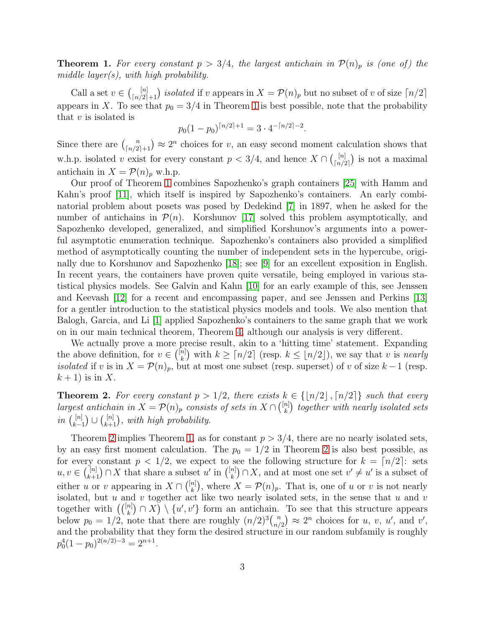<span id="page-2-0"></span>**Theorem 1.** For every constant  $p > 3/4$ , the largest antichain in  $\mathcal{P}(n)_p$  is (one of) the *middle layer(s), with high probability.*

Call a set  $v \in \binom{[n]}{[n/2]+1}$  *isolated* if v appears in  $X = \mathcal{P}(n)_p$  but no subset of v of size  $\lfloor n/2 \rfloor$ appears in X. To see that  $p_0 = 3/4$  in Theorem [1](#page-2-0) is best possible, note that the probability that  $v$  is isolated is

$$
p_0(1-p_0)^{\lceil n/2 \rceil+1} = 3 \cdot 4^{-\lceil n/2 \rceil-2}.
$$

Since there are  $\binom{n}{\lfloor n/2 \rfloor + 1} \approx 2^n$  choices for v, an easy second moment calculation shows that w.h.p. isolated v exist for every constant  $p < 3/4$ , and hence  $X \cap \binom{[n]}{[n/2]}$  $\binom{[n]}{[n/2]}$  is not a maximal antichain in  $X = \mathcal{P}(n)_p$  w.h.p.

Our proof of Theorem [1](#page-2-0) combines Sapozhenko's graph containers [\[25\]](#page-20-6) with Hamm and Kahn's proof [\[11\]](#page-19-5), which itself is inspired by Sapozhenko's containers. An early combinatorial problem about posets was posed by Dedekind [\[7\]](#page-19-6) in 1897, when he asked for the number of antichains in  $\mathcal{P}(n)$ . Korshunov [\[17\]](#page-20-7) solved this problem asymptotically, and Sapozhenko developed, generalized, and simplified Korshunov's arguments into a powerful asymptotic enumeration technique. Sapozhenko's containers also provided a simplified method of asymptotically counting the number of independent sets in the hypercube, originally due to Korshunov and Sapozhenko [\[18\]](#page-20-8); see [\[9\]](#page-19-7) for an excellent exposition in English. In recent years, the containers have proven quite versatile, being employed in various statistical physics models. See Galvin and Kahn [\[10\]](#page-19-8) for an early example of this, see Jenssen and Keevash [\[12\]](#page-19-9) for a recent and encompassing paper, and see Jenssen and Perkins [\[13\]](#page-19-10) for a gentler introduction to the statistical physics models and tools. We also mention that Balogh, Garcia, and Li [\[1\]](#page-19-11) applied Sapozhenko's containers to the same graph that we work on in our main technical theorem, Theorem [4,](#page-3-0) although our analysis is very different.

We actually prove a more precise result, akin to a 'hitting time' statement. Expanding the above definition, for  $v \in \binom{[n]}{k}$  $\binom{n}{k}$  with  $k \geq \lceil n/2 \rceil$  (resp.  $k \leq \lfloor n/2 \rfloor$ ), we say that v is *nearly isolated* if v is in  $X = \mathcal{P}(n)_p$ , but at most one subset (resp. superset) of v of size  $k-1$  (resp.  $k+1$ ) is in X.

<span id="page-2-1"></span>**Theorem 2.** For every constant  $p > 1/2$ , there exists  $k \in \{[n/2], [n/2]\}$  such that every *largest antichain in*  $X = \mathcal{P}(n)$ <sub>p</sub> *consists of sets in*  $X \cap {n \choose k}$  $\binom{n}{k}$  together with nearly isolated sets *in*  $\binom{[n]}{k}$  $\binom{[n]}{k+1}$  ∪  $\binom{[n]}{k+1}$ , with high probability.

Theorem [2](#page-2-1) implies Theorem [1,](#page-2-0) as for constant  $p > 3/4$ , there are no nearly isolated sets, by an easy first moment calculation. The  $p_0 = 1/2$  in Theorem [2](#page-2-1) is also best possible, as for every constant  $p < 1/2$ , we expect to see the following structure for  $k = \lceil n/2 \rceil$ : sets  $u, v \in \binom{[n]}{k+1} \cap X$  that share a subset  $u'$  in  $\binom{[n]}{k}$  $\binom{n}{k} \cap X$ , and at most one set  $v' \neq u'$  is a subset of either u or v appearing in  $X \cap \binom{[n]}{k}$  $\binom{n}{k}$ , where  $X = \mathcal{P}(n)_p$ . That is, one of u or v is not nearly isolated, but  $u$  and  $v$  together act like two nearly isolated sets, in the sense that  $u$  and  $v$ together with  $((\binom{[n]}{k} \cap X) \setminus \{u',v'\}$  form an antichain. To see that this structure appears below  $p_0 = 1/2$ , note that there are roughly  $(n/2)^3 \binom{n}{n/2}$  ${n \choose n/2} \approx 2^n$  choices for  $u, v, u'$ , and  $v'$ , and the probability that they form the desired structure in our random subfamily is roughly  $p_0^4(1-p_0)^{2(n/2)-3} = 2^{n+1}.$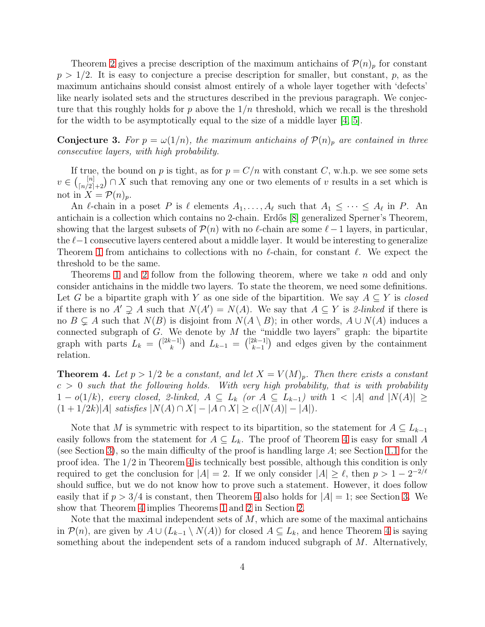Theorem [2](#page-2-1) gives a precise description of the maximum antichains of  $\mathcal{P}(n_p)$  for constant  $p > 1/2$ . It is easy to conjecture a precise description for smaller, but constant, p, as the maximum antichains should consist almost entirely of a whole layer together with 'defects' like nearly isolated sets and the structures described in the previous paragraph. We conjecture that this roughly holds for p above the  $1/n$  threshold, which we recall is the threshold for the width to be asymptotically equal to the size of a middle layer [\[4,](#page-19-3) [5\]](#page-19-4).

<span id="page-3-1"></span>**Conjecture 3.** For  $p = \omega(1/n)$ , the maximum antichains of  $\mathcal{P}(n)_p$  are contained in three *consecutive layers, with high probability.*

If true, the bound on p is tight, as for  $p = C/n$  with constant C, w.h.p. we see some sets  $v \in \binom{[n]}{[n/2]+2} \cap X$  such that removing any one or two elements of v results in a set which is not in  $X = \mathcal{P}(n)_p$ .

An  $\ell$ -chain in a poset P is  $\ell$  elements  $A_1, \ldots, A_\ell$  such that  $A_1 \leq \cdots \leq A_\ell$  in P. An antichain is a collection which contains no 2-chain. Erdős [\[8\]](#page-19-12) generalized Sperner's Theorem, showing that the largest subsets of  $\mathcal{P}(n)$  with no  $\ell$ -chain are some  $\ell-1$  layers, in particular, the  $\ell-1$  consecutive layers centered about a middle layer. It would be interesting to generalize Theorem [1](#page-2-0) from antichains to collections with no  $\ell$ -chain, for constant  $\ell$ . We expect the threshold to be the same.

Theorems [1](#page-2-0) and [2](#page-2-1) follow from the following theorem, where we take n odd and only consider antichains in the middle two layers. To state the theorem, we need some definitions. Let G be a bipartite graph with Y as one side of the bipartition. We say  $A \subseteq Y$  is *closed* if there is no  $A' \supsetneq A$  such that  $N(A') = N(A)$ . We say that  $A \subseteq Y$  is *2-linked* if there is no  $B \subsetneq A$  such that  $N(B)$  is disjoint from  $N(A \setminus B)$ ; in other words,  $A \cup N(A)$  induces a connected subgraph of  $G$ . We denote by  $M$  the "middle two layers" graph: the bipartite graph with parts  $L_k = \binom{[2k-1]}{k}$  $\binom{[2k-1]}{k}$  and  $L_{k-1} = \binom{[2k-1]}{k-1}$  $\binom{2k-1}{k-1}$  and edges given by the containment relation.

<span id="page-3-0"></span>**Theorem 4.** Let  $p > 1/2$  be a constant, and let  $X = V(M)_p$ . Then there exists a constant  $c > 0$  such that the following holds. With very high probability, that is with probability 1 −  $o(1/k)$ , every closed, 2-linked,  $A \subseteq L_k$  (or  $A \subseteq L_{k-1}$ ) with  $1 < |A|$  and  $|N(A)| \ge$  $(1 + 1/2k)|A|$  *satisfies*  $|N(A) \cap X| - |A \cap X| \ge c(|N(A)| - |A|)$ .

Note that M is symmetric with respect to its bipartition, so the statement for  $A \subseteq L_{k-1}$ easily follows from the statement for  $A \subseteq L_k$ . The proof of Theorem [4](#page-3-0) is easy for small A (see Section [3\)](#page-9-0), so the main difficulty of the proof is handling large A; see Section [1.1](#page-4-0) for the proof idea. The 1/2 in Theorem [4](#page-3-0) is technically best possible, although this condition is only required to get the conclusion for  $|A| = 2$ . If we only consider  $|A| \geq \ell$ , then  $p > 1 - 2^{-2/\ell}$ should suffice, but we do not know how to prove such a statement. However, it does follow easily that if  $p > 3/4$  is constant, then Theorem [4](#page-3-0) also holds for  $|A| = 1$ ; see Section [3.](#page-9-0) We show that Theorem [4](#page-3-0) implies Theorems [1](#page-2-0) and [2](#page-2-1) in Section [2.](#page-7-0)

Note that the maximal independent sets of  $M$ , which are some of the maximal antichains in  $\mathcal{P}(n)$ , are given by  $A \cup (L_{k-1} \setminus N(A))$  for closed  $A \subseteq L_k$ , and hence Theorem [4](#page-3-0) is saying something about the independent sets of a random induced subgraph of  $M$ . Alternatively,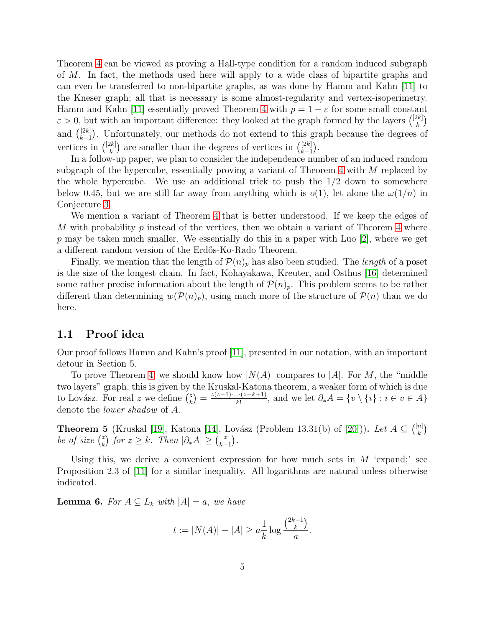Theorem [4](#page-3-0) can be viewed as proving a Hall-type condition for a random induced subgraph of M. In fact, the methods used here will apply to a wide class of bipartite graphs and can even be transferred to non-bipartite graphs, as was done by Hamm and Kahn [\[11\]](#page-19-5) to the Kneser graph; all that is necessary is some almost-regularity and vertex-isoperimetry. Hamm and Kahn [\[11\]](#page-19-5) essentially proved Theorem [4](#page-3-0) with  $p = 1 - \varepsilon$  for some small constant  $\varepsilon > 0$ , but with an important difference: they looked at the graph formed by the layers  $\binom{[2k]}{k}$  $\binom{2k}{k}$ and  $\binom{[2k]}{k-1}$  $\binom{[2k]}{k-1}$ . Unfortunately, our methods do not extend to this graph because the degrees of vertices in  $\binom{[2k]}{k}$  $\binom{[2k]}{k}$  are smaller than the degrees of vertices in  $\binom{[2k]}{k-1}$  $\binom{[2k]}{k-1}$ .

In a follow-up paper, we plan to consider the independence number of an induced random subgraph of the hypercube, essentially proving a variant of Theorem [4](#page-3-0) with  $M$  replaced by the whole hypercube. We use an additional trick to push the  $1/2$  down to somewhere below 0.45, but we are still far away from anything which is  $o(1)$ , let alone the  $\omega(1/n)$  in Conjecture [3.](#page-3-1)

We mention a variant of Theorem [4](#page-3-0) that is better understood. If we keep the edges of M with probability p instead of the vertices, then we obtain a variant of Theorem [4](#page-3-0) where  $p$  may be taken much smaller. We essentially do this in a paper with Luo [\[2\]](#page-19-13), where we get a different random version of the Erdős-Ko-Rado Theorem.

Finally, we mention that the length of  $\mathcal{P}(n)_p$  has also been studied. The *length* of a poset is the size of the longest chain. In fact, Kohayakawa, Kreuter, and Osthus [\[16\]](#page-19-14) determined some rather precise information about the length of  $\mathcal{P}(n)_p$ . This problem seems to be rather different than determining  $w(\mathcal{P}(n_p))$ , using much more of the structure of  $\mathcal{P}(n)$  than we do here.

#### <span id="page-4-0"></span>1.1 Proof idea

Our proof follows Hamm and Kahn's proof [\[11\]](#page-19-5), presented in our notation, with an important detour in Section 5.

To prove Theorem [4,](#page-3-0) we should know how  $|N(A)|$  compares to  $|A|$ . For M, the "middle" two layers" graph, this is given by the Kruskal-Katona theorem, a weaker form of which is due to Lovász. For real z we define  $\binom{z}{k}$  $\binom{z}{k} = \frac{z(z-1)\cdot ... \cdot (z-k+1)}{k!}$  $\frac{d \dot{x} \cdot (z - \kappa + 1)}{k!}$ , and we let  $\partial_* A = \{v \setminus \{i\} : i \in v \in A\}$ denote the *lower shadow* of A.

<span id="page-4-1"></span>**Theorem 5** (Kruskal [\[19\]](#page-20-9), Katona [\[14\]](#page-19-15), Lovász (Problem 13.31(b) of [\[20\]](#page-20-10))). Let  $A \subseteq \binom{[n]}{k}$  $_{k}^{n]}\big)$ *be of size*  $\binom{z}{k}$  $\binom{z}{k}$  for  $z \ge k$ . Then  $|\partial_* A| \ge \binom{z}{k-1}$  $_{k-1}^{z}$ ).

Using this, we derive a convenient expression for how much sets in  $M$  'expand;' see Proposition 2.3 of [\[11\]](#page-19-5) for a similar inequality. All logarithms are natural unless otherwise indicated.

<span id="page-4-2"></span>**Lemma 6.** For  $A \subseteq L_k$  with  $|A| = a$ , we have

$$
t := |N(A)| - |A| \ge a \frac{1}{k} \log \frac{\binom{2k-1}{k}}{a}.
$$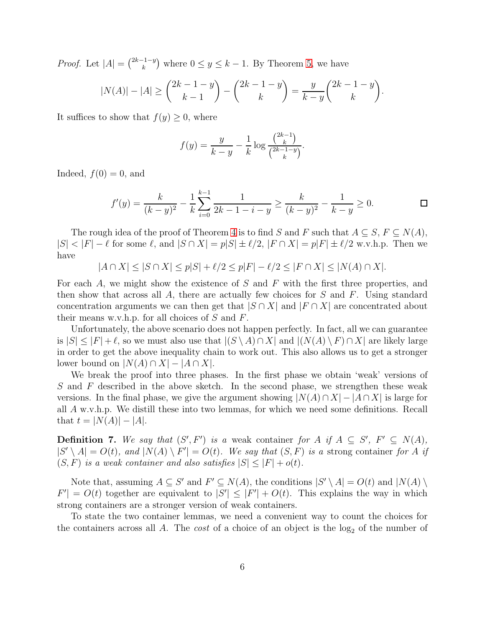*Proof.* Let  $|A| = \binom{2k-1-y}{k}$  $(k \atop k})^{-1-y}$  where  $0 \le y \le k-1$ . By Theorem [5,](#page-4-1) we have

$$
|N(A)| - |A| \ge \binom{2k-1-y}{k-1} - \binom{2k-1-y}{k} = \frac{y}{k-y} \binom{2k-1-y}{k}.
$$

It suffices to show that  $f(y) \geq 0$ , where

$$
f(y) = \frac{y}{k-y} - \frac{1}{k} \log \frac{\binom{2k-1}{k}}{\binom{2k-1-y}{k}}.
$$

Indeed,  $f(0) = 0$ , and

$$
f'(y) = \frac{k}{(k-y)^2} - \frac{1}{k} \sum_{i=0}^{k-1} \frac{1}{2k-1-i-y} \ge \frac{k}{(k-y)^2} - \frac{1}{k-y} \ge 0.
$$

The rough idea of the proof of Theorem [4](#page-3-0) is to find S and F such that  $A \subseteq S$ ,  $F \subseteq N(A)$ ,  $|S| < |F| - \ell$  for some  $\ell$ , and  $|S \cap X| = p|S| + \ell/2$ ,  $|F \cap X| = p|F| + \ell/2$  w.v.h.p. Then we have

$$
|A \cap X| \le |S \cap X| \le p|S| + \ell/2 \le p|F| - \ell/2 \le |F \cap X| \le |N(A) \cap X|.
$$

For each  $A$ , we might show the existence of  $S$  and  $F$  with the first three properties, and then show that across all A, there are actually few choices for  $S$  and  $F$ . Using standard concentration arguments we can then get that  $|S \cap X|$  and  $|F \cap X|$  are concentrated about their means w.v.h.p. for all choices of  $S$  and  $F$ .

Unfortunately, the above scenario does not happen perfectly. In fact, all we can guarantee is  $|S| \leq |F| + \ell$ , so we must also use that  $|(S \setminus A) \cap X|$  and  $|(N(A) \setminus F) \cap X|$  are likely large in order to get the above inequality chain to work out. This also allows us to get a stronger lower bound on  $|N(A) \cap X| - |A \cap X|$ .

We break the proof into three phases. In the first phase we obtain 'weak' versions of S and F described in the above sketch. In the second phase, we strengthen these weak versions. In the final phase, we give the argument showing  $|N(A) \cap X| - |A \cap X|$  is large for all A w.v.h.p. We distill these into two lemmas, for which we need some definitions. Recall that  $t = |N(A)| - |A|$ .

**Definition 7.** We say that  $(S', F')$  is a weak container for A if  $A \subseteq S'$ ,  $F' \subseteq N(A)$ ,  $|S' \setminus A| = O(t)$ , and  $|N(A) \setminus F'| = O(t)$ . We say that  $(S, F)$  is a strong container for A *if*  $(S, F)$  *is a weak container and also satisfies*  $|S| \leq |F| + o(t)$ *.* 

Note that, assuming  $A \subseteq S'$  and  $F' \subseteq N(A)$ , the conditions  $|S' \setminus A| = O(t)$  and  $|N(A) \setminus A|$  $|F'| = O(t)$  together are equivalent to  $|S'| \leq |F'| + O(t)$ . This explains the way in which strong containers are a stronger version of weak containers.

To state the two container lemmas, we need a convenient way to count the choices for the containers across all  $A$ . The *cost* of a choice of an object is the  $log_2$  of the number of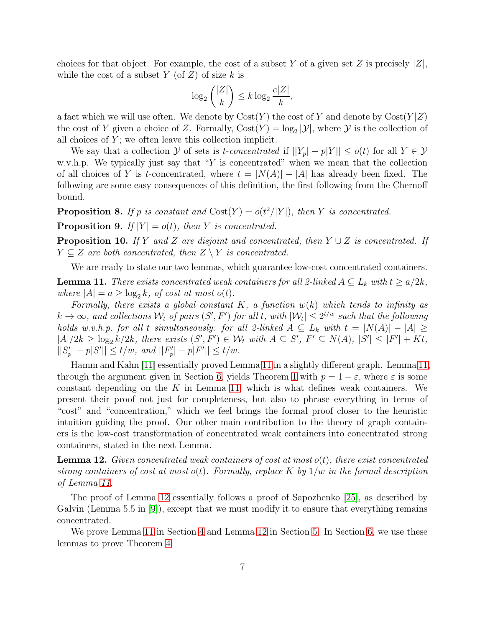choices for that object. For example, the cost of a subset Y of a given set Z is precisely  $|Z|$ , while the cost of a subset Y (of  $Z$ ) of size k is

$$
\log_2\binom{|Z|}{k} \le k \log_2 \frac{e|Z|}{k},
$$

a fact which we will use often. We denote by  $\text{Cost}(Y)$  the cost of Y and denote by  $\text{Cost}(Y|Z)$ the cost of Y given a choice of Z. Formally,  $Cost(Y) = log_2 |\mathcal{Y}|$ , where Y is the collection of all choices of  $Y$ ; we often leave this collection implicit.

We say that a collection Y of sets is *t-concentrated* if  $||Y_p| - |Y|| \le o(t)$  for all  $Y \in \mathcal{Y}$ w.v.h.p. We typically just say that "Y is concentrated" when we mean that the collection of all choices of Y is t-concentrated, where  $t = |N(A)| - |A|$  has already been fixed. The following are some easy consequences of this definition, the first following from the Chernoff bound.

<span id="page-6-2"></span>**Proposition 8.** If p is constant and  $Cost(Y) = o(t^2/|Y|)$ , then Y is concentrated.

<span id="page-6-4"></span>**Proposition 9.** *If*  $|Y| = o(t)$ *, then Y is concentrated.* 

<span id="page-6-3"></span>Proposition 10. *If* Y *and* Z *are disjoint and concentrated, then* Y ∪ Z *is concentrated. If*  $Y \subseteq Z$  are both concentrated, then  $Z \setminus Y$  is concentrated.

We are ready to state our two lemmas, which guarantee low-cost concentrated containers.

<span id="page-6-0"></span>**Lemma 11.** *There exists concentrated weak containers for all 2-linked*  $A \subseteq L_k$  *with*  $t \ge a/2k$ *, where*  $|A| = a \ge \log_2 k$ , of cost at most o(t).

*Formally, there exists a global constant* K*, a function* w(k) *which tends to infinity as*  $k \to \infty$ , and collections  $\mathcal{W}_t$  of pairs  $(S', F')$  for all t, with  $|\mathcal{W}_t| \leq 2^{t/w}$  such that the following *holds w.v.h.p. for all t simultaneously: for all 2-linked*  $A \subseteq L_k$  *with*  $t = |N(A)| - |A| \ge$  $|A|/2k \geq \log_2 k/2k$ , there exists  $(S', F') \in \mathcal{W}_t$  with  $A \subseteq S'$ ,  $F' \subseteq N(A)$ ,  $|S'| \leq |F'| + Kt$ ,  $||S'_p| - p|S'|| \le t/w$ , and  $||F'_p| - p|F'|| \le t/w$ .

Hamm and Kahn [\[11\]](#page-19-5) essentially proved Lemma [11](#page-6-0) in a slightly different graph. Lemma [11,](#page-6-0) through the argument given in Section [6,](#page-17-0) yields Theorem [1](#page-2-0) with  $p = 1 - \varepsilon$ , where  $\varepsilon$  is some constant depending on the K in Lemma [11,](#page-6-0) which is what defines weak containers. We present their proof not just for completeness, but also to phrase everything in terms of "cost" and "concentration," which we feel brings the formal proof closer to the heuristic intuition guiding the proof. Our other main contribution to the theory of graph containers is the low-cost transformation of concentrated weak containers into concentrated strong containers, stated in the next Lemma.

<span id="page-6-1"></span>Lemma 12. *Given concentrated weak containers of cost at most* o(t)*, there exist concentrated strong containers of cost at most* o(t)*. Formally, replace* K *by* 1/w *in the formal description of Lemma [11.](#page-6-0)*

The proof of Lemma [12](#page-6-1) essentially follows a proof of Sapozhenko [\[25\]](#page-20-6), as described by Galvin (Lemma 5.5 in  $[9]$ ), except that we must modify it to ensure that everything remains concentrated.

We prove Lemma [11](#page-6-0) in Section [4](#page-10-0) and Lemma [12](#page-6-1) in Section [5.](#page-15-0) In Section [6,](#page-17-0) we use these lemmas to prove Theorem [4.](#page-3-0)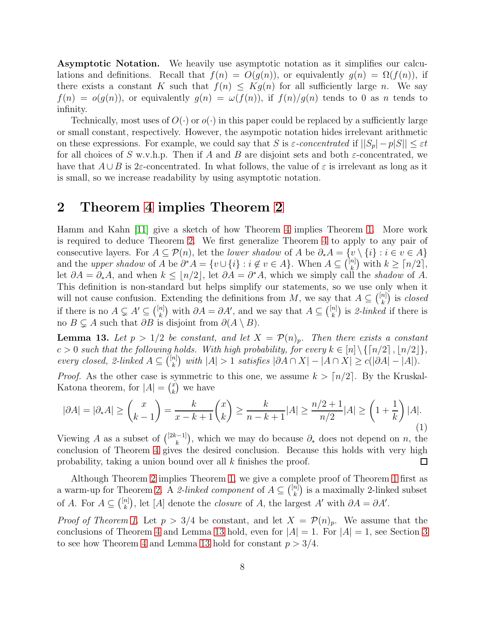Asymptotic Notation. We heavily use asymptotic notation as it simplifies our calculations and definitions. Recall that  $f(n) = O(g(n))$ , or equivalently  $g(n) = \Omega(f(n))$ , if there exists a constant K such that  $f(n) \leq Kg(n)$  for all sufficiently large n. We say  $f(n) = o(g(n))$ , or equivalently  $g(n) = \omega(f(n))$ , if  $f(n)/g(n)$  tends to 0 as n tends to infinity.

Technically, most uses of  $O(\cdot)$  or  $o(\cdot)$  in this paper could be replaced by a sufficiently large or small constant, respectively. However, the asympotic notation hides irrelevant arithmetic on these expressions. For example, we could say that S is  $\varepsilon$ -concentrated if  $||S_p| - p|S|| \leq \varepsilon t$ for all choices of S w.v.h.p. Then if A and B are disjoint sets and both  $\varepsilon$ -concentrated, we have that  $A \cup B$  is 2 $\varepsilon$ -concentrated. In what follows, the value of  $\varepsilon$  is irrelevant as long as it is small, so we increase readability by using asymptotic notation.

## <span id="page-7-0"></span>2 Theorem [4](#page-3-0) implies Theorem [2](#page-2-1)

Hamm and Kahn [\[11\]](#page-19-5) give a sketch of how Theorem [4](#page-3-0) implies Theorem [1.](#page-2-0) More work is required to deduce Theorem [2.](#page-2-1) We first generalize Theorem [4](#page-3-0) to apply to any pair of consecutive layers. For  $A \subseteq \mathcal{P}(n)$ , let the *lower shadow* of A be  $\partial_* A = \{v \setminus \{i\} : i \in v \in A\}$ and the *upper shadow* of A be  $\partial^* A = \{v \cup \{i\} : i \notin v \in A\}$ . When  $A \subseteq \binom{[n]}{k}$  ${k \choose k}$  with  $k \geq \lceil n/2 \rceil$ , let  $\partial A = \partial_* A$ , and when  $k \leq \lfloor n/2 \rfloor$ , let  $\partial A = \partial^* A$ , which we simply call the *shadow* of A. This definition is non-standard but helps simplify our statements, so we use only when it will not cause confusion. Extending the definitions from M, we say that  $A \subseteq \binom{[n]}{k}$  $\binom{n}{k}$  is *closed* if there is no  $A \subsetneq A' \subseteq {[n] \choose k}$  $\binom{n}{k}$  with  $\partial A = \partial A'$ , and we say that  $A \subseteq \binom{[n]}{k}$  $\binom{n}{k}$  is 2-linked if there is no  $B \subsetneq A$  such that  $\partial B$  is disjoint from  $\partial(A \setminus B)$ .

<span id="page-7-1"></span>**Lemma 13.** Let  $p > 1/2$  be constant, and let  $X = \mathcal{P}(n)_p$ . Then there exists a constant  $c > 0$  such that the following holds. With high probability, for every  $k \in [n] \setminus \{[n/2], \lfloor n/2 \rfloor\}$ , *every closed, 2-linked*  $A \subseteq \binom{[n]}{k}$  $\binom{n}{k}$  with  $|A| > 1$  *satisfies*  $|\partial A \cap X| - |A \cap X| \ge c(|\partial A| - |A|)$ *.* 

*Proof.* As the other case is symmetric to this one, we assume  $k > \lfloor n/2 \rfloor$ . By the Kruskal-Katona theorem, for  $|A| = \binom{x}{k}$  $\binom{x}{k}$  we have

<span id="page-7-2"></span>
$$
|\partial A| = |\partial_* A| \ge \binom{x}{k-1} = \frac{k}{x-k+1} \binom{x}{k} \ge \frac{k}{n-k+1} |A| \ge \frac{n/2+1}{n/2} |A| \ge \left(1 + \frac{1}{k}\right) |A|. \tag{1}
$$

Viewing A as a subset of  $\binom{[2k-1]}{k}$  $(k<sub>k</sub><sup>i-1</sup>)$ , which we may do because  $\partial_*$  does not depend on n, the conclusion of Theorem [4](#page-3-0) gives the desired conclusion. Because this holds with very high probability, taking a union bound over all k finishes the proof.  $\Box$ 

Although Theorem [2](#page-2-1) implies Theorem [1,](#page-2-0) we give a complete proof of Theorem [1](#page-2-0) first as a warm-up for Theorem [2.](#page-2-1) A 2-linked component of  $A \subseteq \binom{[n]}{k}$  $\binom{n}{k}$  is a maximally 2-linked subset of A. For  $A \subseteq \binom{[n]}{k}$  $\binom{n}{k}$ , let [A] denote the *closure* of A, the largest A' with  $\partial A = \partial A'$ .

*Proof of Theorem [1.](#page-2-0)* Let  $p > 3/4$  be constant, and let  $X = \mathcal{P}(n)_p$ . We assume that the conclusions of Theorem [4](#page-3-0) and Lemma [13](#page-7-1) hold, even for  $|A| = 1$ . For  $|A| = 1$ , see Section [3](#page-9-0) to see how Theorem [4](#page-3-0) and Lemma [13](#page-7-1) hold for constant  $p > 3/4$ .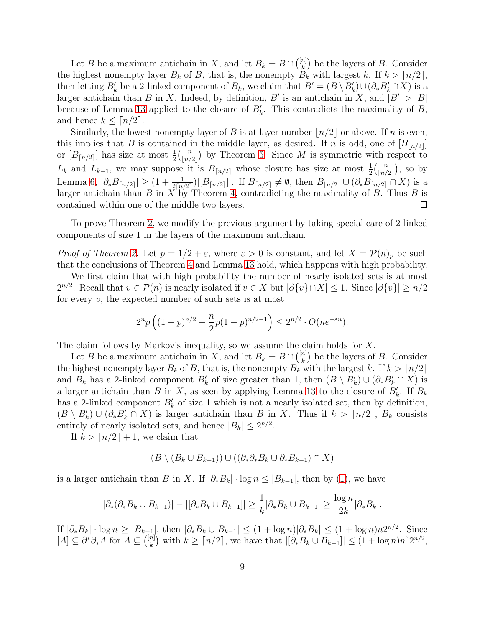Let B be a maximum antichain in X, and let  $B_k = B \cap \left(\frac{[n]}{k}\right)$  $\binom{n}{k}$  be the layers of B. Consider the highest nonempty layer  $B_k$  of B, that is, the nonempty  $B_k$  with largest k. If  $k > \lfloor n/2 \rfloor$ , then letting  $B'_k$  be a 2-linked component of  $B_k$ , we claim that  $B' = (B \setminus B'_k) \cup (\partial_* B'_k \cap X)$  is a larger antichain than B in X. Indeed, by definition, B' is an antichain in X, and  $|B'| > |B|$ because of Lemma [13](#page-7-1) applied to the closure of  $B'_{k}$ . This contradicts the maximality of B, and hence  $k \leq \lceil n/2 \rceil$ .

Similarly, the lowest nonempty layer of B is at layer number  $\lfloor n/2 \rfloor$  or above. If n is even, this implies that B is contained in the middle layer, as desired. If n is odd, one of  $[B_{n/2}]$ or  $[B_{\lceil n/2 \rceil}]$  has size at most  $\frac{1}{2} {n \choose \lfloor n/2 \rfloor}$  $\binom{n}{\lfloor n/2 \rfloor}$  by Theorem [5.](#page-4-1) Since M is symmetric with respect to  $L_k$  and  $L_{k-1}$ , we may suppose it is  $B_{\lceil n/2 \rceil}$  whose closure has size at most  $\frac{1}{2} {n \choose \lfloor n/2 \rfloor}$  $\binom{n}{\lfloor n/2 \rfloor}$ , so by Lemma [6,](#page-4-2)  $|\partial_* B_{\lceil n/2 \rceil}| \geq (1 + \frac{1}{2\lceil n/2 \rceil}) |B_{\lceil n/2 \rceil}|$ . If  $B_{\lceil n/2 \rceil} \neq \emptyset$ , then  $B_{\lfloor n/2 \rfloor} \cup (\partial_* B_{\lceil n/2 \rceil} \cap X)$  is a larger antichain than  $B$  in  $X$  by Theorem [4,](#page-3-0) contradicting the maximality of  $B$ . Thus  $B$  is contained within one of the middle two layers.  $\Box$ 

To prove Theorem [2,](#page-2-1) we modify the previous argument by taking special care of 2-linked components of size 1 in the layers of the maximum antichain.

*Proof of Theorem [2.](#page-2-1)* Let  $p = 1/2 + \varepsilon$ , where  $\varepsilon > 0$  is constant, and let  $X = \mathcal{P}(n)_p$  be such that the conclusions of Theorem [4](#page-3-0) and Lemma [13](#page-7-1) hold, which happens with high probability.

We first claim that with high probability the number of nearly isolated sets is at most  $2^{n/2}$ . Recall that  $v \in \mathcal{P}(n)$  is nearly isolated if  $v \in X$  but  $|\partial \{v\} \cap X| \leq 1$ . Since  $|\partial \{v\}| \geq n/2$ for every  $v$ , the expected number of such sets is at most

$$
2^{n}p\left((1-p)^{n/2}+\frac{n}{2}p(1-p)^{n/2-1}\right)\leq 2^{n/2}\cdot O(ne^{-\varepsilon n}).
$$

The claim follows by Markov's inequality, so we assume the claim holds for X.

Let B be a maximum antichain in X, and let  $B_k = B \cap {n \choose k}$  $\binom{n}{k}$  be the layers of B. Consider the highest nonempty layer  $B_k$  of B, that is, the nonempty  $B_k$  with the largest k. If  $k > \lfloor n/2 \rfloor$ and  $B_k$  has a 2-linked component  $B'_k$  of size greater than 1, then  $(B \setminus B'_k) \cup (\partial_* B'_k \cap X)$  is a larger antichain than B in X, as seen by applying Lemma [13](#page-7-1) to the closure of  $B'_k$ . If  $B_k$ has a 2-linked component  $B'_k$  of size 1 which is not a nearly isolated set, then by definition,  $(B \setminus B'_{k}) \cup (\partial_{*} B'_{k} \cap X)$  is larger antichain than B in X. Thus if  $k > \lceil n/2 \rceil$ ,  $B_{k}$  consists entirely of nearly isolated sets, and hence  $|B_k| \leq 2^{n/2}$ .

If  $k > \lfloor n/2 \rfloor + 1$ , we claim that

$$
(B \setminus (B_k \cup B_{k-1})) \cup ((\partial_* \partial_* B_k \cup \partial_* B_{k-1}) \cap X)
$$

is a larger antichain than B in X. If  $|\partial_* B_k| \cdot \log n \leq |B_{k-1}|$ , then by [\(1\)](#page-7-2), we have

$$
|\partial_*(\partial_* B_k \cup B_{k-1})| - |[\partial_* B_k \cup B_{k-1}]| \geq \frac{1}{k} |\partial_* B_k \cup B_{k-1}| \geq \frac{\log n}{2k} |\partial_* B_k|.
$$

If  $|\partial_* B_k| \cdot \log n \ge |B_{k-1}|$ , then  $|\partial_* B_k \cup B_{k-1}| \le (1 + \log n)|\partial_* B_k| \le (1 + \log n)n2^{n/2}$ . Since  $[A] \subseteq \partial^* \partial_* A$  for  $A \subseteq \binom{[n]}{k}$  $\binom{n}{k}$  with  $k \ge \lceil n/2 \rceil$ , we have that  $\lfloor \lceil \partial_* B_k \cup B_{k-1} \rceil \rfloor \le (1 + \log n) n^3 2^{n/2}$ ,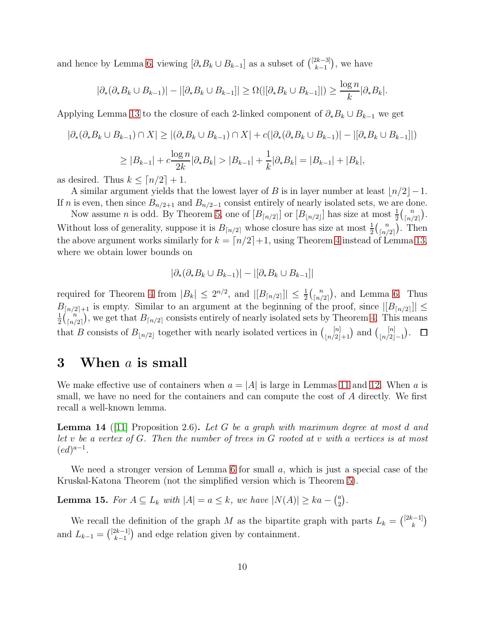and hence by Lemma [6,](#page-4-2) viewing  $[\partial_* B_k \cup B_{k-1}]$  as a subset of  $\binom{[2k-3]}{k-1}$  $_{k-1}^{2k-3}$ ), we have

$$
|\partial_*(\partial_* B_k \cup B_{k-1})| - |[\partial_* B_k \cup B_{k-1}]| \ge \Omega(|[\partial_* B_k \cup B_{k-1}]|) \ge \frac{\log n}{k} |\partial_* B_k|.
$$

Applying Lemma [13](#page-7-1) to the closure of each 2-linked component of  $\partial_* B_k \cup B_{k-1}$  we get

$$
|\partial_{*}(\partial_{*}B_{k} \cup B_{k-1}) \cap X| \ge |(\partial_{*}B_{k} \cup B_{k-1}) \cap X| + c(|\partial_{*}(\partial_{*}B_{k} \cup B_{k-1})| - |[\partial_{*}B_{k} \cup B_{k-1}]|)
$$
  

$$
\ge |B_{k-1}| + c \frac{\log n}{2k} |\partial_{*}B_{k}| > |B_{k-1}| + \frac{1}{k} |\partial_{*}B_{k}| = |B_{k-1}| + |B_{k}|,
$$

as desired. Thus  $k \leq \lceil n/2 \rceil + 1$ .

A similar argument yields that the lowest layer of B is in layer number at least  $\lfloor n/2 \rfloor - 1$ . If n is even, then since  $B_{n/2+1}$  and  $B_{n/2-1}$  consist entirely of nearly isolated sets, we are done.

Now assume *n* is odd. By Theorem [5,](#page-4-1) one of  $[B_{n/2}]$  or  $[B_{\lfloor n/2 \rfloor}]$  has size at most  $\frac{1}{2} {n \choose \lceil n/2 \rceil}$  $\binom{n}{\lceil n/2 \rceil}$ . Without loss of generality, suppose it is  $B_{n/2}$  whose closure has size at most  $\frac{1}{2} {n \choose \lceil n/2 \rceil}$  $\binom{n}{\lfloor n/2 \rfloor}$ . Then the above argument works similarly for  $k = \lfloor n/2 \rfloor + 1$ , using Theorem [4](#page-3-0) instead of Lemma [13,](#page-7-1) where we obtain lower bounds on

$$
|\partial_*(\partial_* B_k \cup B_{k-1})| - |[\partial_* B_k \cup B_{k-1}]|
$$

required for Theorem [4](#page-3-0) from  $|B_k| \leq 2^{n/2}$ , and  $|[B_{\lceil n/2 \rceil}]| \leq \frac{1}{2} {n \choose \lceil n/2 \rceil}$  $\binom{n}{\lfloor n/2 \rfloor}$ , and Lemma [6.](#page-4-2) Thus  $B_{\lfloor n/2 \rfloor+1}$  is empty. Similar to an argument at the beginning of the proof, since  $\lfloor B_{\lfloor n/2 \rfloor} \rfloor \le$  $\frac{1}{2}\binom{n}{\lceil n /}$ 1  $\binom{n}{\lfloor n/2 \rfloor}$ , we get that  $B_{\lfloor n/2 \rfloor}$  consists entirely of nearly isolated sets by Theorem [4.](#page-3-0) This means that B consists of  $B_{\lfloor n/2 \rfloor}$  together with nearly isolated vertices in  $\binom{[n]}{\lfloor n/2 \rfloor+1}$  and  $\binom{[n]}{\lfloor n/2 \rfloor}$  $\lfloor n/2 \rfloor - 1$ .  $\Box$ 

#### <span id="page-9-0"></span>3 When  $a$  is small

We make effective use of containers when  $a = |A|$  is large in Lemmas [11](#page-6-0) and [12.](#page-6-1) When a is small, we have no need for the containers and can compute the cost of A directly. We first recall a well-known lemma.

<span id="page-9-1"></span>Lemma 14 ([\[11\]](#page-19-5) Proposition 2.6). *Let* G *be a graph with maximum degree at most* d *and let* v *be a vertex of* G*. Then the number of trees in* G *rooted at* v *with* a *vertices is at most*  $(ed)^{a-1}.$ 

We need a stronger version of Lemma [6](#page-4-2) for small a, which is just a special case of the Kruskal-Katona Theorem (not the simplified version which is Theorem [5\)](#page-4-1).

<span id="page-9-2"></span>**Lemma 15.** For  $A \subseteq L_k$  with  $|A| = a \leq k$ , we have  $|N(A)| \geq ka - \binom{a}{2}$  $\binom{a}{2}$ .

We recall the definition of the graph M as the bipartite graph with parts  $L_k = \binom{[2k-1]}{k}$  $\binom{k-1}{k}$ and  $L_{k-1} = \binom{[2k-1]}{k-1}$  $\binom{2k-1}{k-1}$  and edge relation given by containment.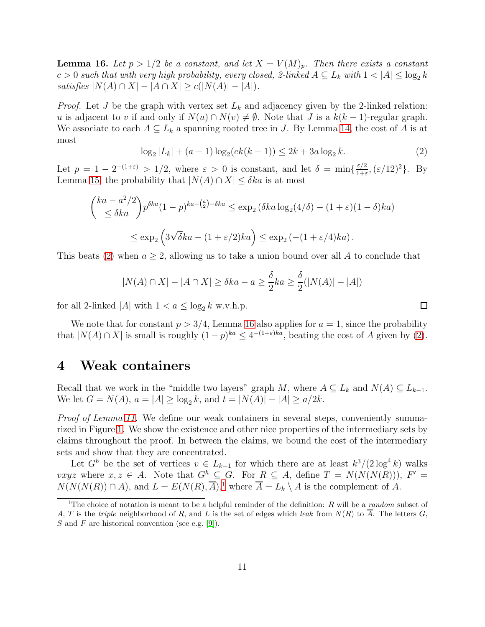<span id="page-10-2"></span>**Lemma 16.** Let  $p > 1/2$  be a constant, and let  $X = V(M)_p$ . Then there exists a constant  $c > 0$  such that with very high probability, every closed, 2-linked  $A \subseteq L_k$  with  $1 < |A| \leq \log_2 k$  $satisfies |N(A) \cap X| - |A \cap X| \ge c(|N(A)| - |A|)$ .

*Proof.* Let J be the graph with vertex set  $L_k$  and adjacency given by the 2-linked relation: u is adjacent to v if and only if  $N(u) \cap N(v) \neq \emptyset$ . Note that J is a  $k(k-1)$ -regular graph. We associate to each  $A \subseteq L_k$  a spanning rooted tree in J. By Lemma [14,](#page-9-1) the cost of A is at most

<span id="page-10-1"></span>
$$
\log_2 |L_k| + (a-1)\log_2(ek(k-1)) \le 2k + 3a\log_2 k. \tag{2}
$$

 $\Box$ 

Let  $p = 1 - 2^{-(1+\varepsilon)} > 1/2$ , where  $\varepsilon > 0$  is constant, and let  $\delta = \min\{\frac{\varepsilon/2}{1+\varepsilon}\}$  $\frac{\varepsilon/2}{1+\varepsilon}$ ,  $(\varepsilon/12)^2$ . By Lemma [15,](#page-9-2) the probability that  $|N(A) \cap X| \leq \delta ka$  is at most

$$
\begin{aligned} \binom{ka - a^2/2}{\leq \delta ka} p^{\delta ka} (1-p)^{ka - \binom{a}{2} - \delta ka} &\leq \exp_2 \left( \delta ka \log_2(4/\delta) - (1+\varepsilon)(1-\delta)ka \right) \\ &\leq \exp_2 \left( 3\sqrt{\delta ka} - (1+\varepsilon/2)ka \right) \leq \exp_2 \left( - (1+\varepsilon/4)ka \right). \end{aligned}
$$

This beats [\(2\)](#page-10-1) when  $a \geq 2$ , allowing us to take a union bound over all A to conclude that

$$
|N(A) \cap X| - |A \cap X| \ge \delta ka - a \ge \frac{\delta}{2} ka \ge \frac{\delta}{2}(|N(A)| - |A|)
$$

for all 2-linked |A| with  $1 < a \leq \log_2 k$  w.v.h.p.

We note that for constant  $p > 3/4$ , Lemma [16](#page-10-2) also applies for  $a = 1$ , since the probability that  $|N(A) \cap X|$  is small is roughly  $(1-p)^{ka} \leq 4^{-(1+\varepsilon)ka}$ , beating the cost of A given by [\(2\)](#page-10-1).

#### <span id="page-10-0"></span>4 Weak containers

Recall that we work in the "middle two layers" graph M, where  $A \subseteq L_k$  and  $N(A) \subseteq L_{k-1}$ . We let  $G = N(A)$ ,  $a = |A| \ge \log_2 k$ , and  $t = |N(A)| - |A| \ge a/2k$ .

*Proof of Lemma [11.](#page-6-0)* We define our weak containers in several steps, conveniently summarized in Figure [1.](#page-13-0) We show the existence and other nice properties of the intermediary sets by claims throughout the proof. In between the claims, we bound the cost of the intermediary sets and show that they are concentrated.

Let  $G^h$  be the set of vertices  $v \in L_{k-1}$  for which there are at least  $k^3/(2 \log^4 k)$  walks  $vxyz$  where  $x, z \in A$ . Note that  $G^h \subseteq G$ . For  $R \subseteq A$ , define  $T = N(N(N(R))), F' =$  $N(N(N(R)) \cap A)$ , and  $L = E(N(R), \overline{A})$ ,<sup>[1](#page-10-3)</sup> where  $\overline{A} = L_k \setminus A$  is the complement of A.

<span id="page-10-3"></span><sup>&</sup>lt;sup>1</sup>The choice of notation is meant to be a helpful reminder of the definition: R will be a random subset of A, T is the triple neighborhood of R, and L is the set of edges which leak from  $N(R)$  to  $\overline{A}$ . The letters G, S and F are historical convention (see e.g. [\[9\]](#page-19-7)).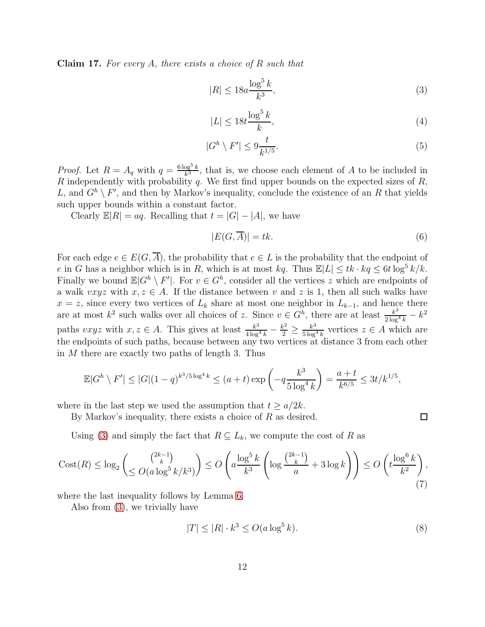Claim 17. *For every* A*, there exists a choice of* R *such that*

<span id="page-11-0"></span>
$$
|R| \le 18a \frac{\log^5 k}{k^3},\tag{3}
$$

<span id="page-11-1"></span>
$$
|L| \le 18t \frac{\log^5 k}{k},\tag{4}
$$

<span id="page-11-4"></span>
$$
|G^h \setminus F'| \le 9\frac{t}{k^{1/5}}.\tag{5}
$$

*Proof.* Let  $R = A_q$  with  $q = \frac{6 \log^5 k}{k^3}$  $\frac{\log^6 k}{k^3}$ , that is, we choose each element of A to be included in R independently with probability  $q$ . We first find upper bounds on the expected sizes of  $R$ , L, and  $G^h \setminus F'$ , and then by Markov's inequality, conclude the existence of an R that yields such upper bounds within a constant factor.

Clearly  $\mathbb{E}[R] = aq$ . Recalling that  $t = |G| - |A|$ , we have

<span id="page-11-3"></span>
$$
|E(G,\overline{A})| = tk.
$$
\n(6)

 $\Box$ 

For each edge  $e \in E(G, \overline{A})$ , the probability that  $e \in L$  is the probability that the endpoint of e in G has a neighbor which is in R, which is at most  $kq$ . Thus  $\mathbb{E}|L| \leq tk \cdot kq \leq 6t \log^5 k/k$ . Finally we bound  $\mathbb{E}|G^h \setminus F'|$ . For  $v \in G^h$ , consider all the vertices z which are endpoints of a walk vxyz with  $x, z \in A$ . If the distance between v and z is 1, then all such walks have  $x = z$ , since every two vertices of  $L_k$  share at most one neighbor in  $L_{k-1}$ , and hence there are at most  $k^2$  such walks over all choices of z. Since  $v \in G^h$ , there are at least  $\frac{k^3}{2 \log^2 n}$  $\frac{k^3}{2\log^4 k} - k^2$ paths vxyz with  $x, z \in A$ . This gives at least  $\frac{k^3}{4 \log^2}$  $\frac{k^3}{4\log^4 k} - \frac{k^2}{2}$  $\frac{x^2}{2} \geq \frac{k^3}{5 \log^3}$  $\frac{k^{\circ}}{5 \log^4 k}$  vertices  $z \in A$  which are the endpoints of such paths, because between any two vertices at distance 3 from each other in  $M$  there are exactly two paths of length 3. Thus

$$
\mathbb{E}|G^h \setminus F'| \le |G|(1-q)^{k^3/5\log^4 k} \le (a+t)\exp\left(-q\frac{k^3}{5\log^4 k}\right) = \frac{a+t}{k^{6/5}} \le 3t/k^{1/5},
$$

where in the last step we used the assumption that  $t \geq a/2k$ .

By Markov's inequality, there exists a choice of  $R$  as desired.

Using [\(3\)](#page-11-0) and simply the fact that  $R \subseteq L_k$ , we compute the cost of R as

<span id="page-11-5"></span>
$$
\operatorname{Cost}(R) \le \log_2\left(\frac{\binom{2k-1}{k}}{\le O(a\log^5 k/k^3)}\right) \le O\left(a\frac{\log^5 k}{k^3} \left(\log\frac{\binom{2k-1}{k}}{a} + 3\log k\right)\right) \le O\left(t\frac{\log^6 k}{k^2}\right),\tag{7}
$$

where the last inequality follows by Lemma [6.](#page-4-2)

Also from [\(3\)](#page-11-0), we trivially have

<span id="page-11-2"></span>
$$
|T| \le |R| \cdot k^3 \le O(a \log^5 k). \tag{8}
$$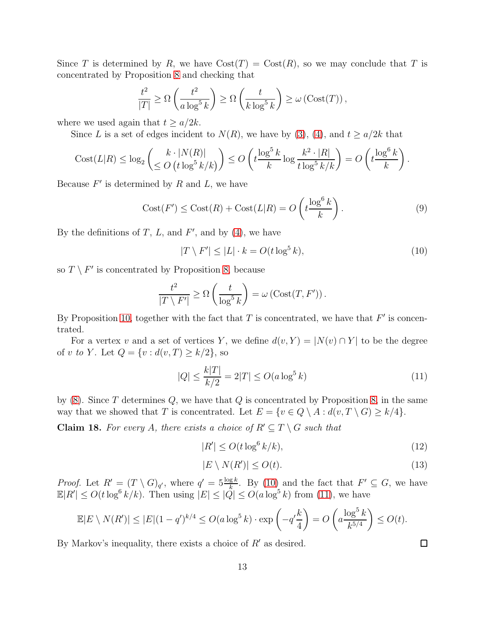Since T is determined by R, we have  $Cost(T) = Cost(R)$ , so we may conclude that T is concentrated by Proposition [8](#page-6-2) and checking that

$$
\frac{t^2}{|T|} \ge \Omega\left(\frac{t^2}{a\log^5 k}\right) \ge \Omega\left(\frac{t}{k\log^5 k}\right) \ge \omega\left(\mathrm{Cost}(T)\right),
$$

where we used again that  $t \geq a/2k$ .

Since L is a set of edges incident to  $N(R)$ , we have by [\(3\)](#page-11-0), [\(4\)](#page-11-1), and  $t \ge a/2k$  that

$$
Cost(L|R) \leq \log_2\left(\frac{k \cdot |N(R)|}{\leq O\left(t \log^5 k / k\right)}\right) \leq O\left(t \frac{\log^5 k}{k} \log \frac{k^2 \cdot |R|}{t \log^5 k / k}\right) = O\left(t \frac{\log^6 k}{k}\right).
$$

Because  $F'$  is determined by  $R$  and  $L$ , we have

<span id="page-12-4"></span>
$$
Cost(F') \leq Cost(R) + Cost(L|R) = O\left(t \frac{\log^6 k}{k}\right).
$$
\n(9)

By the definitions of  $T$ ,  $L$ , and  $F'$ , and by  $(4)$ , we have

<span id="page-12-0"></span>
$$
|T \setminus F'| \le |L| \cdot k = O(t \log^5 k), \tag{10}
$$

so  $T \setminus F'$  is concentrated by Proposition [8,](#page-6-2) because

$$
\frac{t^2}{|T \setminus F'|} \ge \Omega\left(\frac{t}{\log^5 k}\right) = \omega\left(\mathrm{Cost}(T, F')\right).
$$

By Proposition [10,](#page-6-3) together with the fact that  $T$  is concentrated, we have that  $F'$  is concentrated.

For a vertex v and a set of vertices Y, we define  $d(v, Y) = |N(v) \cap Y|$  to be the degree of *v* to *Y*. Let  $Q = \{v : d(v, T) \ge k/2\}$ , so

<span id="page-12-1"></span>
$$
|Q| \le \frac{k|T|}{k/2} = 2|T| \le O(a\log^5 k)
$$
\n(11)

by  $(8)$ . Since T determines Q, we have that Q is concentrated by Proposition [8,](#page-6-2) in the same way that we showed that T is concentrated. Let  $E = \{v \in Q \setminus A : d(v, T \setminus G) \geq k/4\}.$ 

**Claim 18.** For every A, there exists a choice of  $R' \subseteq T \setminus G$  such that

<span id="page-12-2"></span>
$$
|R'| \le O(t \log^6 k/k),\tag{12}
$$

<span id="page-12-3"></span>
$$
|E \setminus N(R')| \le O(t). \tag{13}
$$

*Proof.* Let  $R' = (T \setminus G)_{q'}$ , where  $q' = 5\frac{\log k}{k}$ . By [\(10\)](#page-12-0) and the fact that  $F' \subseteq G$ , we have  $\mathbb{E}|R'| \leq O(t \log^6 k/k)$ . Then using  $|E| \leq |\mathcal{Q}| \leq O(a \log^5 k)$  from [\(11\)](#page-12-1), we have

$$
\mathbb{E}|E \setminus N(R')| \leq |E|(1-q')^{k/4} \leq O(a \log^5 k) \cdot \exp\left(-q' \frac{k}{4}\right) = O\left(a \frac{\log^5 k}{k^{5/4}}\right) \leq O(t).
$$

By Markov's inequality, there exists a choice of  $R'$  as desired.

 $\Box$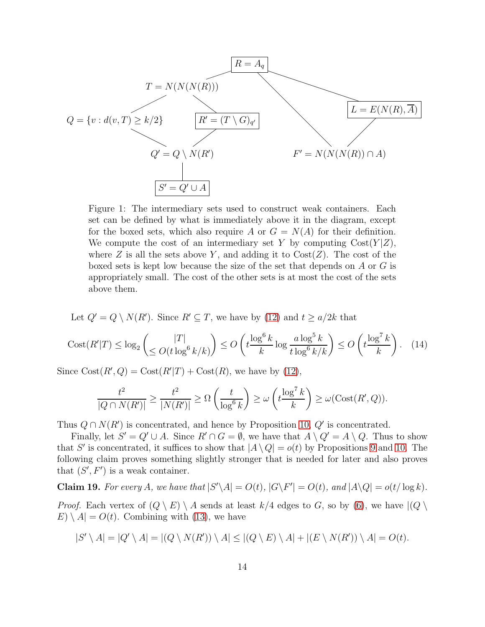<span id="page-13-0"></span>

Figure 1: The intermediary sets used to construct weak containers. Each set can be defined by what is immediately above it in the diagram, except for the boxed sets, which also require A or  $G = N(A)$  for their definition. We compute the cost of an intermediary set Y by computing  $Cost(Y|Z)$ , where Z is all the sets above Y, and adding it to  $Cost(Z)$ . The cost of the boxed sets is kept low because the size of the set that depends on A or G is appropriately small. The cost of the other sets is at most the cost of the sets above them.

Let  $Q' = Q \setminus N(R')$ . Since  $R' \subseteq T$ , we have by [\(12\)](#page-12-2) and  $t \ge a/2k$  that

<span id="page-13-2"></span>
$$
\operatorname{Cost}(R'|T) \le \log_2\left(\frac{|T|}{\le O(t\log^6 k/k)}\right) \le O\left(t\frac{\log^6 k}{k}\log\frac{a\log^5 k}{t\log^6 k/k}\right) \le O\left(t\frac{\log^7 k}{k}\right). \tag{14}
$$

Since  $Cost(R', Q) = Cost(R'|T) + Cost(R)$ , we have by [\(12\)](#page-12-2),

$$
\frac{t^2}{|Q \cap N(R')|} \ge \frac{t^2}{|N(R')|} \ge \Omega\left(\frac{t}{\log^6 k}\right) \ge \omega\left(t \frac{\log^7 k}{k}\right) \ge \omega(\text{Cost}(R', Q)).
$$

Thus  $Q \cap N(R')$  is concentrated, and hence by Proposition [10,](#page-6-3)  $Q'$  is concentrated.

Finally, let  $S' = Q' \cup A$ . Since  $R' \cap G = \emptyset$ , we have that  $A \setminus Q' = A \setminus Q$ . Thus to show that S' is concentrated, it suffices to show that  $|A \setminus Q| = o(t)$  by Propositions [9](#page-6-4) and [10.](#page-6-3) The following claim proves something slightly stronger that is needed for later and also proves that  $(S', F')$  is a weak container.

<span id="page-13-1"></span>Claim 19. For every A, we have that  $|S' \setminus A| = O(t)$ ,  $|G \setminus F'| = O(t)$ , and  $|A \setminus Q| = o(t/\log k)$ . *Proof.* Each vertex of  $(Q \setminus E) \setminus A$  sends at least  $k/4$  edges to G, so by [\(6\)](#page-11-3), we have  $|(Q \setminus B) \setminus A$  $E) \setminus A = O(t)$ . Combining with [\(13\)](#page-12-3), we have

$$
|S' \setminus A| = |Q' \setminus A| = |(Q \setminus N(R')) \setminus A| \le |(Q \setminus E) \setminus A| + |(E \setminus N(R')) \setminus A| = O(t).
$$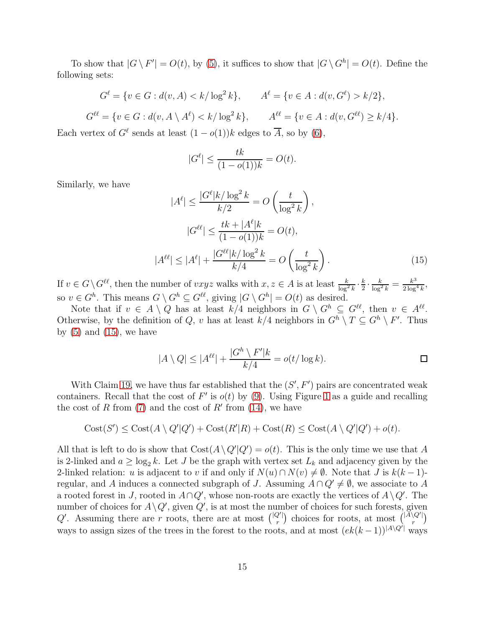To show that  $|G \setminus F'| = O(t)$ , by [\(5\)](#page-11-4), it suffices to show that  $|G \setminus G^h| = O(t)$ . Define the following sets:

$$
G^{\ell} = \{ v \in G : d(v, A) < k / \log^{2} k \}, \qquad A^{\ell} = \{ v \in A : d(v, G^{\ell}) > k / 2 \},
$$
\n
$$
G^{\ell\ell} = \{ v \in G : d(v, A \setminus A^{\ell}) < k / \log^{2} k \}, \qquad A^{\ell\ell} = \{ v \in A : d(v, G^{\ell\ell}) \ge k / 4 \}.
$$

Each vertex of  $G^{\ell}$  sends at least  $(1 - o(1))k$  edges to  $\overline{A}$ , so by  $(6)$ ,

<span id="page-14-0"></span> $\vert$ 

$$
|G^{\ell}| \le \frac{tk}{(1 - o(1))k} = O(t).
$$

Similarly, we have

$$
|A^{\ell}| \le \frac{|G^{\ell}|k/\log^{2}k}{k/2} = O\left(\frac{t}{\log^{2}k}\right),
$$
  

$$
|G^{\ell\ell}| \le \frac{tk + |A^{\ell}|k}{(1 - o(1))k} = O(t),
$$
  

$$
|A^{\ell\ell}| \le |A^{\ell}| + \frac{|G^{\ell\ell}|k/\log^{2}k}{k/4} = O\left(\frac{t}{\log^{2}k}\right).
$$
 (15)

If  $v \in G \backslash G^{\ell\ell}$ , then the number of  $vxyz$  walks with  $x, z \in A$  is at least  $\frac{k}{\log^2 k} \cdot \frac{k}{2}$  $\frac{k}{2} \cdot \frac{k}{\log^2 k} = \frac{k^3}{2 \log^3 k}$  $\frac{k^3}{2\log^4 k}$ so  $v \in G^h$ . This means  $G \setminus G^h \subseteq G^{\ell\ell}$ , giving  $|G \setminus G^h| = O(t)$  as desired.

Note that if  $v \in A \setminus Q$  has at least  $k/4$  neighbors in  $G \setminus G^h \subseteq G^{\ell\ell}$ , then  $v \in A^{\ell\ell}$ . Otherwise, by the definition of Q, v has at least  $k/4$  neighbors in  $G^h \setminus T \subseteq G^h \setminus F'$ . Thus by  $(5)$  and  $(15)$ , we have

$$
|A \setminus Q| \le |A^{\ell\ell}| + \frac{|G^h \setminus F'|k}{k/4} = o(t/\log k).
$$

With Claim [19,](#page-13-1) we have thus far established that the  $(S', F')$  pairs are concentrated weak containers. Recall that the cost of  $F'$  is  $o(t)$  by [\(9\)](#page-12-4). Using Figure [1](#page-13-0) as a guide and recalling the cost of R from  $(7)$  and the cost of R' from  $(14)$ , we have

$$
Cost(S') \leq Cost(A \setminus Q'|Q') + Cost(R'|R) + Cost(R) \leq Cost(A \setminus Q'|Q') + o(t).
$$

All that is left to do is show that  $Cost(A \setminus Q'|Q') = o(t)$ . This is the only time we use that A is 2-linked and  $a \ge \log_2 k$ . Let J be the graph with vertex set  $L_k$  and adjacency given by the 2-linked relation: u is adjacent to v if and only if  $N(u) \cap N(v) \neq \emptyset$ . Note that J is  $k(k-1)$ regular, and A induces a connected subgraph of J. Assuming  $A \cap Q' \neq \emptyset$ , we associate to A a rooted forest in J, rooted in  $A \cap Q'$ , whose non-roots are exactly the vertices of  $A \setminus Q'$ . The number of choices for  $A \setminus Q'$ , given  $Q'$ , is at most the number of choices for such forests, given Q'. Assuming there are r roots, there are at most  $\binom{|Q'|}{r}$  $\binom{Q'}{r}$  choices for roots, at most  $\binom{|A\setminus Q'|}{r}$  $r^{\left( Q^{\prime }\right) }\Big)$ ways to assign sizes of the trees in the forest to the roots, and at most  $(ek(k-1))^{[A\setminus Q']}$  ways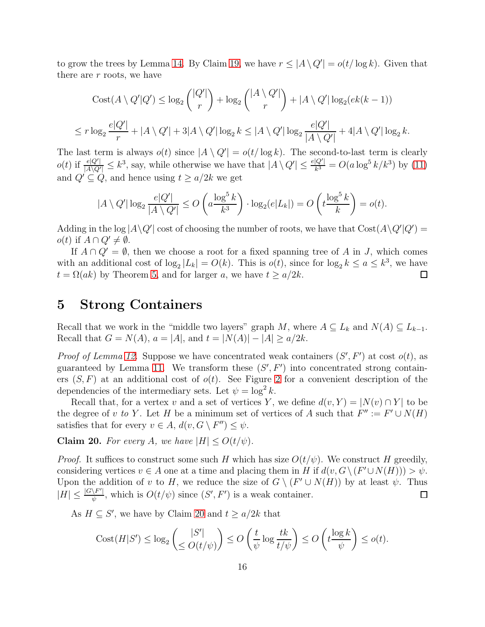to grow the trees by Lemma [14.](#page-9-1) By Claim [19,](#page-13-1) we have  $r \leq |A \setminus Q'| = o(t/\log k)$ . Given that there are  $r$  roots, we have

$$
\operatorname{Cost}(A \setminus Q'|Q') \le \log_2 {\binom{|Q'|}{r}} + \log_2 {\binom{|A \setminus Q'|}{r}} + |A \setminus Q'| \log_2(ek(k-1))
$$
  

$$
\le r \log_2 \frac{e|Q'|}{r} + |A \setminus Q'| + 3|A \setminus Q'| \log_2 k \le |A \setminus Q'| \log_2 \frac{e|Q'|}{|A \setminus Q'|} + 4|A \setminus Q'| \log_2 k.
$$

The last term is always  $o(t)$  since  $|A \setminus Q'| = o(t/\log k)$ . The second-to-last term is clearly  $o(t)$  if  $\frac{e|Q'|}{|A\setminus Q'|} \leq k^3$ , say, while otherwise we have that  $|A\setminus Q'| \leq \frac{e|Q'|}{k^3}$  $\frac{|Q'|}{k^3} = O(a \log^5 k / k^3)$  by [\(11\)](#page-12-1) and  $Q' \subseteq Q$ , and hence using  $t \ge a/2k$  we get

$$
|A \setminus Q'|\log_2\frac{e|Q'|}{|A \setminus Q'|} \le O\left(a\frac{\log^5 k}{k^3}\right) \cdot \log_2(e|L_k|) = O\left(t\frac{\log^5 k}{k}\right) = o(t).
$$

Adding in the  $\log |A \setminus Q'|$  cost of choosing the number of roots, we have that  $\text{Cost}(A \setminus Q'|Q') =$  $o(t)$  if  $A \cap Q' \neq \emptyset$ .

If  $A \cap Q' = \emptyset$ , then we choose a root for a fixed spanning tree of A in J, which comes with an additional cost of  $log_2 |L_k| = O(k)$ . This is  $o(t)$ , since for  $log_2 k \le a \le k^3$ , we have  $t = \Omega(ak)$  by Theorem [5,](#page-4-1) and for larger a, we have  $t \ge a/2k$ .  $\Box$ 

#### <span id="page-15-0"></span>5 Strong Containers

Recall that we work in the "middle two layers" graph M, where  $A \subseteq L_k$  and  $N(A) \subseteq L_{k-1}$ . Recall that  $G = N(A)$ ,  $a = |A|$ , and  $t = |N(A)| - |A| \ge a/2k$ .

*Proof of Lemma [12.](#page-6-1)* Suppose we have concentrated weak containers  $(S', F')$  at cost  $o(t)$ , as guaranteed by Lemma [11.](#page-6-0) We transform these  $(S', F')$  into concentrated strong containers  $(S, F)$  at an additional cost of  $o(t)$ . See Figure [2](#page-16-0) for a convenient description of the dependencies of the intermediary sets. Let  $\psi = \log^2 k$ .

Recall that, for a vertex v and a set of vertices Y, we define  $d(v, Y) = |N(v) \cap Y|$  to be the degree of v to Y. Let H be a minimum set of vertices of A such that  $F'' := F' \cup N(H)$ satisfies that for every  $v \in A$ ,  $d(v, G \setminus F'') \leq \psi$ .

<span id="page-15-1"></span>**Claim 20.** For every A, we have  $|H| \le O(t/\psi)$ .

*Proof.* It suffices to construct some such H which has size  $O(t/\psi)$ . We construct H greedily, considering vertices  $v \in A$  one at a time and placing them in H if  $d(v, G \setminus (F' \cup N(H))) > \psi$ . Upon the addition of v to H, we reduce the size of  $G \setminus (F' \cup N(H))$  by at least  $\psi$ . Thus  $|H| \leq \frac{|G \backslash F'|}{\psi}$  $\frac{\Delta F'}{\psi}$ , which is  $O(t/\psi)$  since  $(S', F')$  is a weak container.  $\Box$ 

As  $H \subseteq S'$ , we have by Claim [20](#page-15-1) and  $t \ge a/2k$  that

$$
Cost(H|S') \le \log_2\left(\frac{|S'|}{\le O(t/\psi)}\right) \le O\left(\frac{t}{\psi}\log\frac{tk}{t/\psi}\right) \le O\left(t\frac{\log k}{\psi}\right) \le o(t).
$$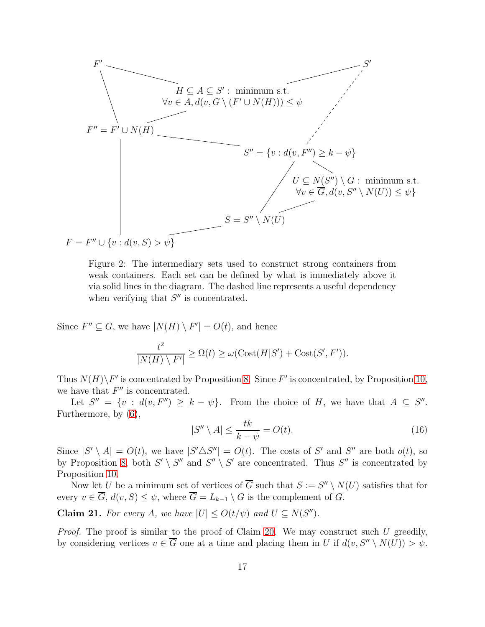<span id="page-16-0"></span>

Figure 2: The intermediary sets used to construct strong containers from weak containers. Each set can be defined by what is immediately above it via solid lines in the diagram. The dashed line represents a useful dependency when verifying that  $S''$  is concentrated.

Since  $F'' \subseteq G$ , we have  $|N(H) \setminus F'| = O(t)$ , and hence

$$
\frac{t^2}{|N(H) \setminus F'|} \ge \Omega(t) \ge \omega(\text{Cost}(H|S') + \text{Cost}(S', F')).
$$

Thus  $N(H)\backslash F'$  is concentrated by Proposition [8.](#page-6-2) Since  $F'$  is concentrated, by Proposition [10,](#page-6-3) we have that  $F''$  is concentrated.

Let  $S'' = \{v : d(v, F'') \geq k - \psi\}$ . From the choice of H, we have that  $A \subseteq S''$ . Furthermore, by [\(6\)](#page-11-3),

<span id="page-16-1"></span>
$$
|S'' \setminus A| \le \frac{tk}{k - \psi} = O(t). \tag{16}
$$

Since  $|S' \setminus A| = O(t)$ , we have  $|S' \triangle S''| = O(t)$ . The costs of S' and S'' are both  $o(t)$ , so by Proposition [8,](#page-6-2) both  $S' \setminus S''$  and  $S'' \setminus S'$  are concentrated. Thus  $S''$  is concentrated by Proposition [10.](#page-6-3)

Now let U be a minimum set of vertices of  $\overline{G}$  such that  $S := S'' \setminus N(U)$  satisfies that for every  $v \in \overline{G}$ ,  $d(v, S) \leq \psi$ , where  $\overline{G} = L_{k-1} \setminus G$  is the complement of  $G$ .

<span id="page-16-2"></span>**Claim 21.** For every A, we have  $|U| \le O(t/\psi)$  and  $U \subseteq N(S'')$ .

*Proof.* The proof is similar to the proof of Claim [20.](#page-15-1) We may construct such U greedily, by considering vertices  $v \in \overline{G}$  one at a time and placing them in U if  $d(v, S'' \setminus N(U)) > \psi$ .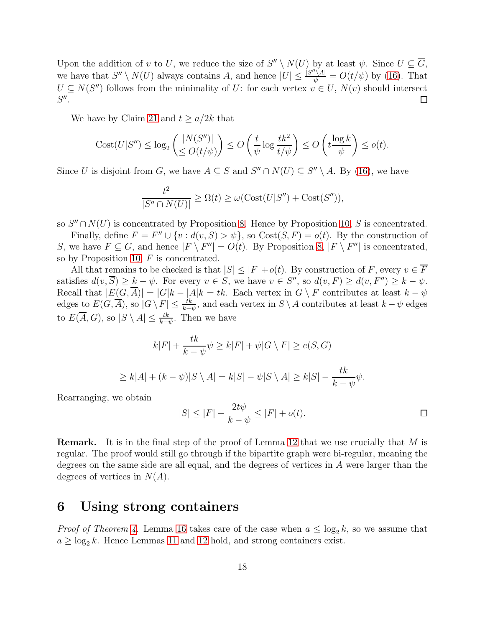Upon the addition of v to U, we reduce the size of  $S'' \setminus N(U)$  by at least  $\psi$ . Since  $U \subseteq \overline{G}$ , we have that  $S'' \setminus N(U)$  always contains A, and hence  $|U| \leq \frac{[S'' \setminus A]}{\psi} = O(t/\psi)$  by [\(16\)](#page-16-1). That  $U \subseteq N(S'')$  follows from the minimality of U: for each vertex  $v \in U$ ,  $N(v)$  should intersect  $S''$ .

We have by Claim [21](#page-16-2) and  $t > a/2k$  that

$$
Cost(U|S'') \le \log_2\left(\frac{|N(S'')|}{\le O(t/\psi)}\right) \le O\left(\frac{t}{\psi}\log\frac{tk^2}{t/\psi}\right) \le O\left(t\frac{\log k}{\psi}\right) \le o(t).
$$

Since U is disjoint from G, we have  $A \subseteq S$  and  $S'' \cap N(U) \subseteq S'' \setminus A$ . By [\(16\)](#page-16-1), we have

$$
\frac{t^2}{|S'' \cap N(U)|} \ge \Omega(t) \ge \omega(\text{Cost}(U|S'') + \text{Cost}(S'')),
$$

so  $S'' \cap N(U)$  is concentrated by Proposition [8.](#page-6-2) Hence by Proposition [10,](#page-6-3) S is concentrated.

Finally, define  $F = F'' \cup \{v : d(v, S) > \psi\}$ , so  $Cost(S, F) = o(t)$ . By the construction of S, we have  $F \subseteq G$ , and hence  $|F \setminus F''| = O(t)$ . By Proposition [8,](#page-6-2)  $|F \setminus F''|$  is concentrated, so by Proposition [10,](#page-6-3)  $F$  is concentrated.

All that remains to be checked is that  $|S| \leq |F| + o(t)$ . By construction of F, every  $v \in \overline{F}$ satisfies  $d(v, \overline{S}) \geq k - \psi$ . For every  $v \in S$ , we have  $v \in S''$ , so  $d(v, F) \geq d(v, F'') \geq k - \psi$ . Recall that  $|E(G,\overline{A})| = |G|k - |A|k = tk$ . Each vertex in  $G \setminus F$  contributes at least  $k - \psi$ edges to  $E(G, \overline{A})$ , so  $|G \setminus F| \leq \frac{tk}{k-\psi}$ , and each vertex in  $S \setminus A$  contributes at least  $k-\psi$  edges to  $E(\overline{A}, G)$ , so  $|S \setminus A| \leq \frac{tk}{k-\psi}$ . Then we have

$$
k|F| + \frac{tk}{k - \psi}\psi \ge k|F| + \psi|G\setminus F| \ge e(S, G)
$$
  

$$
\ge k|A| + (k - \psi)|S\setminus A| = k|S| - \psi|S\setminus A| \ge k|S| - \frac{tk}{k - \psi}\psi.
$$

Rearranging, we obtain

$$
|S| \le |F| + \frac{2t\psi}{k - \psi} \le |F| + o(t).
$$

**Remark.** It is in the final step of the proof of Lemma [12](#page-6-1) that we use crucially that M is regular. The proof would still go through if the bipartite graph were bi-regular, meaning the degrees on the same side are all equal, and the degrees of vertices in A were larger than the degrees of vertices in  $N(A)$ .

## <span id="page-17-0"></span>6 Using strong containers

*Proof of Theorem [4.](#page-3-0)* Lemma [16](#page-10-2) takes care of the case when  $a \leq \log_2 k$ , so we assume that  $a \geq \log_2 k$ . Hence Lemmas [11](#page-6-0) and [12](#page-6-1) hold, and strong containers exist.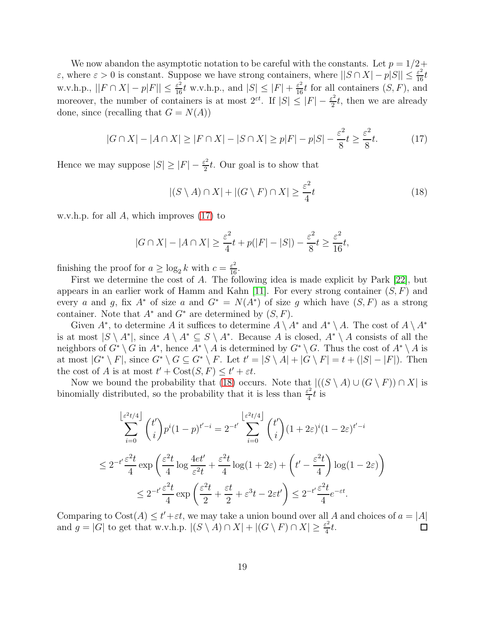We now abandon the asymptotic notation to be careful with the constants. Let  $p = 1/2 + 1$  $\varepsilon$ , where  $\varepsilon > 0$  is constant. Suppose we have strong containers, where  $||S \cap X| - p|S|| \leq \frac{\varepsilon^2}{16}t$ w.v.h.p.,  $||F \cap X| - p|F|| \leq \frac{\varepsilon^2}{16} t$  w.v.h.p., and  $|S| \leq |F| + \frac{\varepsilon^2}{16} t$  for all containers  $(S, F)$ , and moreover, the number of containers is at most  $2^{\varepsilon t}$ . If  $|S| \leq |F| - \frac{\varepsilon^2}{2}$  $\frac{z^2}{2}t$ , then we are already done, since (recalling that  $G = N(A)$ )

<span id="page-18-0"></span>
$$
|G \cap X| - |A \cap X| \ge |F \cap X| - |S \cap X| \ge p|F| - p|S| - \frac{\varepsilon^2}{8}t \ge \frac{\varepsilon^2}{8}t. \tag{17}
$$

Hence we may suppose  $|S| \geq |F| - \frac{\varepsilon^2}{2}$  $\frac{z^2}{2}t$ . Our goal is to show that

<span id="page-18-1"></span>
$$
|(S \setminus A) \cap X| + |(G \setminus F) \cap X| \ge \frac{\varepsilon^2}{4}t \tag{18}
$$

w.v.h.p. for all  $A$ , which improves  $(17)$  to

$$
|G \cap X| - |A \cap X| \ge \frac{\varepsilon^2}{4}t + p(|F| - |S|) - \frac{\varepsilon^2}{8}t \ge \frac{\varepsilon^2}{16}t,
$$

finishing the proof for  $a \ge \log_2 k$  with  $c = \frac{\varepsilon^2}{16}$ .

First we determine the cost of A. The following idea is made explicit by Park [\[22\]](#page-20-11), but appears in an earlier work of Hamm and Kahn [\[11\]](#page-19-5). For every strong container  $(S, F)$  and every a and g, fix  $A^*$  of size a and  $G^* = N(A^*)$  of size g which have  $(S, F)$  as a strong container. Note that  $A^*$  and  $G^*$  are determined by  $(S, F)$ .

Given  $A^*$ , to determine A it suffices to determine  $A \setminus A^*$  and  $A^* \setminus A$ . The cost of  $A \setminus A^*$ is at most  $|S \setminus A^*|$ , since  $A \setminus A^* \subseteq S \setminus A^*$ . Because A is closed,  $A^* \setminus A$  consists of all the neighbors of  $G^* \setminus G$  in  $A^*$ , hence  $A^* \setminus A$  is determined by  $G^* \setminus G$ . Thus the cost of  $A^* \setminus A$  is at most  $|G^* \setminus F|$ , since  $G^* \setminus G \subseteq G^* \setminus F$ . Let  $t' = |S \setminus A| + |G \setminus F| = t + (|S| - |F|)$ . Then the cost of A is at most  $t'$  + Cost $(S, F) \le t' + \varepsilon t$ .

Now we bound the probability that [\(18\)](#page-18-1) occurs. Note that  $|(S \setminus A) \cup (G \setminus F)) \cap X|$  is binomially distributed, so the probability that it is less than  $\frac{\varepsilon^2}{4}$  $\frac{f^2}{4}t$  is

$$
\sum_{i=0}^{\left\lfloor \varepsilon^{2}t/4 \right\rfloor} \binom{t'}{i} p^{i} (1-p)^{t'-i} = 2^{-t'} \sum_{i=0}^{\left\lfloor \varepsilon^{2}t/4 \right\rfloor} \binom{t'}{i} (1+2\varepsilon)^{i} (1-2\varepsilon)^{t'-i}
$$
  

$$
\leq 2^{-t'} \frac{\varepsilon^{2}t}{4} \exp\left(\frac{\varepsilon^{2}t}{4} \log \frac{4et'}{\varepsilon^{2}t} + \frac{\varepsilon^{2}t}{4} \log(1+2\varepsilon) + \left(t' - \frac{\varepsilon^{2}t}{4}\right) \log(1-2\varepsilon)\right)
$$
  

$$
\leq 2^{-t'} \frac{\varepsilon^{2}t}{4} \exp\left(\frac{\varepsilon^{2}t}{2} + \frac{\varepsilon t}{2} + \varepsilon^{3}t - 2\varepsilon t'\right) \leq 2^{-t'} \frac{\varepsilon^{2}t}{4} e^{-\varepsilon t}.
$$

Comparing to  $Cost(A) \leq t' + \varepsilon t$ , we may take a union bound over all A and choices of  $a = |A|$ and  $g = |G|$  to get that w.v.h.p.  $|(S \setminus A) \cap X| + |(G \setminus F) \cap X| \geq \frac{\varepsilon^2}{4}$  $\frac{1}{4}t$ .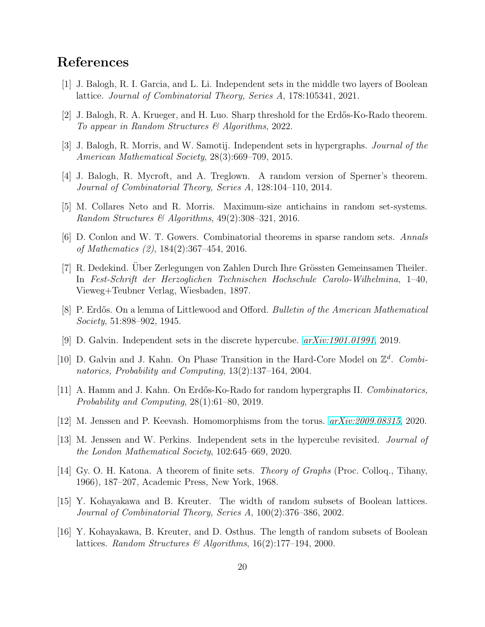#### <span id="page-19-11"></span>References

- <span id="page-19-13"></span>[1] J. Balogh, R. I. Garcia, and L. Li. Independent sets in the middle two layers of Boolean lattice. *Journal of Combinatorial Theory, Series A*, 178:105341, 2021.
- <span id="page-19-0"></span>[2] J. Balogh, R. A. Krueger, and H. Luo. Sharp threshold for the Erdős-Ko-Rado theorem. *To appear in Random Structures & Algorithms*, 2022.
- <span id="page-19-3"></span>[3] J. Balogh, R. Morris, and W. Samotij. Independent sets in hypergraphs. *Journal of the American Mathematical Society*, 28(3):669–709, 2015.
- <span id="page-19-4"></span>[4] J. Balogh, R. Mycroft, and A. Treglown. A random version of Sperner's theorem. *Journal of Combinatorial Theory, Series A*, 128:104–110, 2014.
- <span id="page-19-1"></span>[5] M. Collares Neto and R. Morris. Maximum-size antichains in random set-systems. *Random Structures & Algorithms*, 49(2):308–321, 2016.
- <span id="page-19-6"></span>[6] D. Conlon and W. T. Gowers. Combinatorial theorems in sparse random sets. *Annals of Mathematics (2)*, 184(2):367–454, 2016.
- [7] R. Dedekind. Uber Zerlegungen von Zahlen Durch Ihre Grössten Gemeinsamen Theiler. In *Fest-Schrift der Herzoglichen Technischen Hochschule Carolo-Wilhelmina*, 1–40, Vieweg+Teubner Verlag, Wiesbaden, 1897.
- <span id="page-19-12"></span><span id="page-19-7"></span>[8] P. Erdős. On a lemma of Littlewood and Offord. *Bulletin of the American Mathematical Society*, 51:898–902, 1945.
- <span id="page-19-8"></span>[9] D. Galvin. Independent sets in the discrete hypercube. *[arXiv:1901.01991](http://arxiv.org/abs/1901.01991)*, 2019.
- [10] D. Galvin and J. Kahn. On Phase Transition in the Hard-Core Model on  $\mathbb{Z}^d$ . Combi*natorics, Probability and Computing*, 13(2):137–164, 2004.
- <span id="page-19-9"></span><span id="page-19-5"></span>[11] A. Hamm and J. Kahn. On Erd˝os-Ko-Rado for random hypergraphs II. *Combinatorics, Probability and Computing*, 28(1):61–80, 2019.
- <span id="page-19-10"></span>[12] M. Jenssen and P. Keevash. Homomorphisms from the torus. *[arXiv:2009.08315](http://arxiv.org/abs/2009.08315)*, 2020.
- <span id="page-19-15"></span>[13] M. Jenssen and W. Perkins. Independent sets in the hypercube revisited. *Journal of the London Mathematical Society*, 102:645–669, 2020.
- [14] Gy. O. H. Katona. A theorem of finite sets. *Theory of Graphs* (Proc. Colloq., Tihany, 1966), 187–207, Academic Press, New York, 1968.
- <span id="page-19-2"></span>[15] Y. Kohayakawa and B. Kreuter. The width of random subsets of Boolean lattices. *Journal of Combinatorial Theory, Series A*, 100(2):376–386, 2002.
- <span id="page-19-14"></span>[16] Y. Kohayakawa, B. Kreuter, and D. Osthus. The length of random subsets of Boolean lattices. *Random Structures & Algorithms*, 16(2):177–194, 2000.